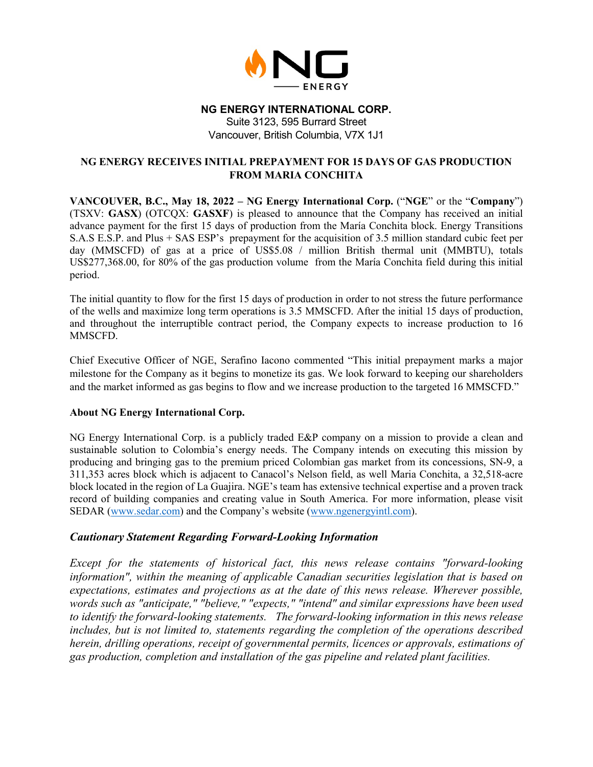

#### **NG ENERGY INTERNATIONAL CORP.**

Suite 3123, 595 Burrard Street Vancouver, British Columbia, V7X 1J1

# **NG ENERGY RECEIVES INITIAL PREPAYMENT FOR 15 DAYS OF GAS PRODUCTION FROM MARIA CONCHITA**

**VANCOUVER, B.C., May 18, 2022 – NG Energy International Corp.** ("**NGE**" or the "**Company**") (TSXV: **GASX**) (OTCQX: **GASXF**) is pleased to announce that the Company has received an initial advance payment for the first 15 days of production from the María Conchita block. Energy Transitions S.A.S E.S.P. and Plus + SAS ESP's prepayment for the acquisition of 3.5 million standard cubic feet per day (MMSCFD) of gas at a price of US\$5.08 / million British thermal unit (MMBTU), totals US\$277,368.00, for 80% of the gas production volume from the María Conchita field during this initial period.

The initial quantity to flow for the first 15 days of production in order to not stress the future performance of the wells and maximize long term operations is 3.5 MMSCFD. After the initial 15 days of production, and throughout the interruptible contract period, the Company expects to increase production to 16 MMSCFD.

Chief Executive Officer of NGE, Serafino Iacono commented "This initial prepayment marks a major milestone for the Company as it begins to monetize its gas. We look forward to keeping our shareholders and the market informed as gas begins to flow and we increase production to the targeted 16 MMSCFD."

# **About NG Energy International Corp.**

NG Energy International Corp. is a publicly traded E&P company on a mission to provide a clean and sustainable solution to Colombia's energy needs. The Company intends on executing this mission by producing and bringing gas to the premium priced Colombian gas market from its concessions, SN-9, a 311,353 acres block which is adjacent to Canacol's Nelson field, as well Maria Conchita, a 32,518-acre block located in the region of La Guajira. NGE's team has extensive technical expertise and a proven track record of building companies and creating value in South America. For more information, please visit SEDAR (www.sedar.com) and the Company's website [\(www.ngenergyintl.com\)](http://www.ngenergyintl.com/).

# *Cautionary Statement Regarding Forward-Looking Information*

*Except for the statements of historical fact, this news release contains "forward-looking information", within the meaning of applicable Canadian securities legislation that is based on expectations, estimates and projections as at the date of this news release. Wherever possible, words such as "anticipate," "believe," "expects," "intend" and similar expressions have been used to identify the forward-looking statements. The forward-looking information in this news release includes, but is not limited to, statements regarding the completion of the operations described herein, drilling operations, receipt of governmental permits, licences or approvals, estimations of gas production, completion and installation of the gas pipeline and related plant facilities.*